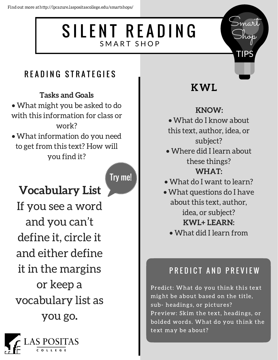# SILENT READING SMART SHOP

### READING STRATEGIES

#### Tasks and Goals

- What might you be asked to do with this information for class or work?
- What information do you need to get from this text? How will you find it?

Try me!

# Vocabulary List

If you see a word and you can't define it, circle it and either define it in the margins or keep a vocabulary list as you go.



## KWL

mart

Shop

TIPS

#### KNOW:

- What do I know about this text, author, idea, or subject?
- Where did I learn about these things? WHAT:
- What do I want to learn?
- What questions do I have about this text, author, idea, or subject? KWL+ LEARN:
	- What did I learn from

### PREDICT AND PREVIEW

Predict: What do you think this text might be about based on the title, sub- headings, or pictures? Preview: Skim the text, headings, or bolded words. What do you think the text may be about?